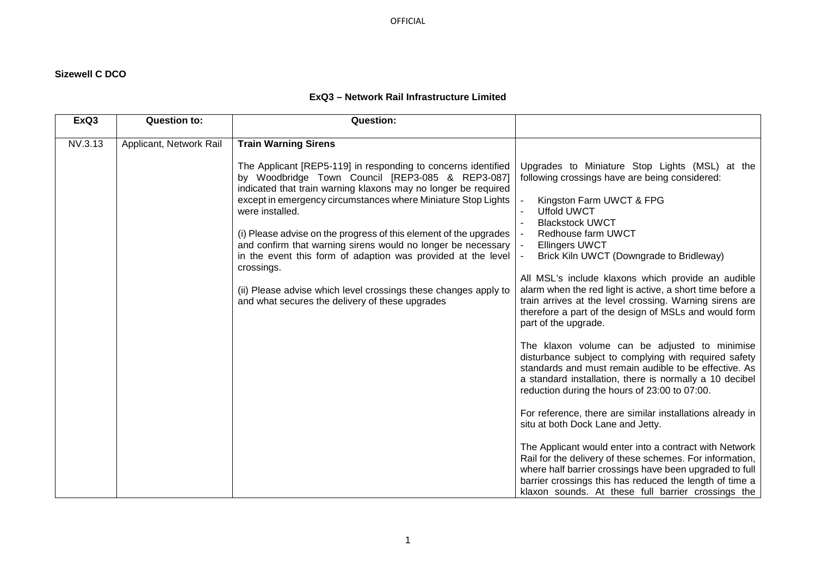## **Sizewell C DCO**

## **ExQ3 – Network Rail Infrastructure Limited**

| ExQ3    | <b>Question to:</b>     | <b>Question:</b>                                                                                                                                                                                                                                                                                                                                                                                                                                                                                                                                                                                                                                    |                                                                                                                                                                                                                                                                                                                                                                                                                                                                                                                                                                                                                                                                                                                                                                                                                                                                                                                                                                                                                                                                                                                                                                                                                           |
|---------|-------------------------|-----------------------------------------------------------------------------------------------------------------------------------------------------------------------------------------------------------------------------------------------------------------------------------------------------------------------------------------------------------------------------------------------------------------------------------------------------------------------------------------------------------------------------------------------------------------------------------------------------------------------------------------------------|---------------------------------------------------------------------------------------------------------------------------------------------------------------------------------------------------------------------------------------------------------------------------------------------------------------------------------------------------------------------------------------------------------------------------------------------------------------------------------------------------------------------------------------------------------------------------------------------------------------------------------------------------------------------------------------------------------------------------------------------------------------------------------------------------------------------------------------------------------------------------------------------------------------------------------------------------------------------------------------------------------------------------------------------------------------------------------------------------------------------------------------------------------------------------------------------------------------------------|
| NV.3.13 | Applicant, Network Rail | <b>Train Warning Sirens</b><br>The Applicant [REP5-119] in responding to concerns identified<br>by Woodbridge Town Council [REP3-085 & REP3-087]<br>indicated that train warning klaxons may no longer be required<br>except in emergency circumstances where Miniature Stop Lights<br>were installed.<br>(i) Please advise on the progress of this element of the upgrades<br>and confirm that warning sirens would no longer be necessary   -<br>in the event this form of adaption was provided at the level<br>crossings.<br>(ii) Please advise which level crossings these changes apply to<br>and what secures the delivery of these upgrades | Upgrades to Miniature Stop Lights (MSL) at the<br>following crossings have are being considered:<br>Kingston Farm UWCT & FPG<br><b>Uffold UWCT</b><br><b>Blackstock UWCT</b><br>Redhouse farm UWCT<br><b>Ellingers UWCT</b><br>Brick Kiln UWCT (Downgrade to Bridleway)<br>All MSL's include klaxons which provide an audible<br>alarm when the red light is active, a short time before a<br>train arrives at the level crossing. Warning sirens are<br>therefore a part of the design of MSLs and would form<br>part of the upgrade.<br>The klaxon volume can be adjusted to minimise<br>disturbance subject to complying with required safety<br>standards and must remain audible to be effective. As<br>a standard installation, there is normally a 10 decibel<br>reduction during the hours of 23:00 to 07:00.<br>For reference, there are similar installations already in<br>situ at both Dock Lane and Jetty.<br>The Applicant would enter into a contract with Network<br>Rail for the delivery of these schemes. For information,<br>where half barrier crossings have been upgraded to full<br>barrier crossings this has reduced the length of time a<br>klaxon sounds. At these full barrier crossings the |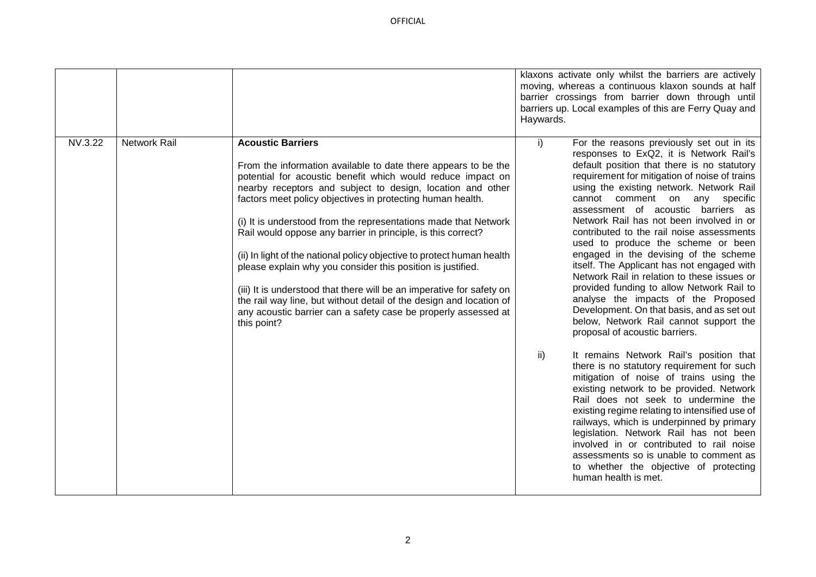OFFICIAL

|         |                     |                                                                                                                                                                                                                                                                                                                                                                                                                                                                                                                                                                                                                                                                                                                                                                                                    | klaxons activate only whilst the barriers are actively<br>moving, whereas a continuous klaxon sounds at half<br>barrier crossings from barrier down through until<br>barriers up. Local examples of this are Ferry Quay and<br>Haywards.                                                                                                                                                                                                                                                                                                                                                                                                                                                                                                                                                                                                                                                                                                                                                                                                                                                                                                                                                                                                                                                                                                   |
|---------|---------------------|----------------------------------------------------------------------------------------------------------------------------------------------------------------------------------------------------------------------------------------------------------------------------------------------------------------------------------------------------------------------------------------------------------------------------------------------------------------------------------------------------------------------------------------------------------------------------------------------------------------------------------------------------------------------------------------------------------------------------------------------------------------------------------------------------|--------------------------------------------------------------------------------------------------------------------------------------------------------------------------------------------------------------------------------------------------------------------------------------------------------------------------------------------------------------------------------------------------------------------------------------------------------------------------------------------------------------------------------------------------------------------------------------------------------------------------------------------------------------------------------------------------------------------------------------------------------------------------------------------------------------------------------------------------------------------------------------------------------------------------------------------------------------------------------------------------------------------------------------------------------------------------------------------------------------------------------------------------------------------------------------------------------------------------------------------------------------------------------------------------------------------------------------------|
| NV.3.22 | <b>Network Rail</b> | <b>Acoustic Barriers</b><br>From the information available to date there appears to be the<br>potential for acoustic benefit which would reduce impact on<br>nearby receptors and subject to design, location and other<br>factors meet policy objectives in protecting human health.<br>(i) It is understood from the representations made that Network<br>Rail would oppose any barrier in principle, is this correct?<br>(ii) In light of the national policy objective to protect human health<br>please explain why you consider this position is justified.<br>(iii) It is understood that there will be an imperative for safety on<br>the rail way line, but without detail of the design and location of<br>any acoustic barrier can a safety case be properly assessed at<br>this point? | i)<br>For the reasons previously set out in its<br>responses to ExQ2, it is Network Rail's<br>default position that there is no statutory<br>requirement for mitigation of noise of trains<br>using the existing network. Network Rail<br>cannot comment on any specific<br>assessment of acoustic barriers as<br>Network Rail has not been involved in or<br>contributed to the rail noise assessments<br>used to produce the scheme or been<br>engaged in the devising of the scheme<br>itself. The Applicant has not engaged with<br>Network Rail in relation to these issues or<br>provided funding to allow Network Rail to<br>analyse the impacts of the Proposed<br>Development. On that basis, and as set out<br>below, Network Rail cannot support the<br>proposal of acoustic barriers.<br>$\mathsf{ii}$<br>It remains Network Rail's position that<br>there is no statutory requirement for such<br>mitigation of noise of trains using the<br>existing network to be provided. Network<br>Rail does not seek to undermine the<br>existing regime relating to intensified use of<br>railways, which is underpinned by primary<br>legislation. Network Rail has not been<br>involved in or contributed to rail noise<br>assessments so is unable to comment as<br>to whether the objective of protecting<br>human health is met. |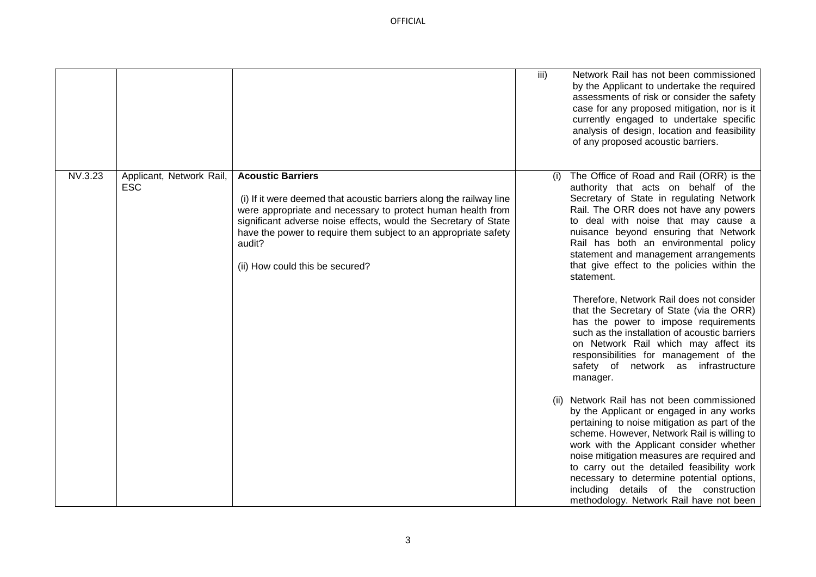OFFICIAL

|                                                   |                                                                                                                                                                                                                                                                                                                                                   | iii) | Network Rail has not been commissioned<br>by the Applicant to undertake the required<br>assessments of risk or consider the safety<br>case for any proposed mitigation, nor is it<br>currently engaged to undertake specific<br>analysis of design, location and feasibility<br>of any proposed acoustic barriers.                                                                                                                                                                                                                                                                                                                                                                                                                                                                                                                                                                                                                                                                                                                                                                                                                                                                           |
|---------------------------------------------------|---------------------------------------------------------------------------------------------------------------------------------------------------------------------------------------------------------------------------------------------------------------------------------------------------------------------------------------------------|------|----------------------------------------------------------------------------------------------------------------------------------------------------------------------------------------------------------------------------------------------------------------------------------------------------------------------------------------------------------------------------------------------------------------------------------------------------------------------------------------------------------------------------------------------------------------------------------------------------------------------------------------------------------------------------------------------------------------------------------------------------------------------------------------------------------------------------------------------------------------------------------------------------------------------------------------------------------------------------------------------------------------------------------------------------------------------------------------------------------------------------------------------------------------------------------------------|
| NV.3.23<br>Applicant, Network Rail,<br><b>ESC</b> | <b>Acoustic Barriers</b><br>(i) If it were deemed that acoustic barriers along the railway line<br>were appropriate and necessary to protect human health from<br>significant adverse noise effects, would the Secretary of State<br>have the power to require them subject to an appropriate safety<br>audit?<br>(ii) How could this be secured? | (1)  | The Office of Road and Rail (ORR) is the<br>authority that acts on behalf of the<br>Secretary of State in regulating Network<br>Rail. The ORR does not have any powers<br>to deal with noise that may cause a<br>nuisance beyond ensuring that Network<br>Rail has both an environmental policy<br>statement and management arrangements<br>that give effect to the policies within the<br>statement.<br>Therefore, Network Rail does not consider<br>that the Secretary of State (via the ORR)<br>has the power to impose requirements<br>such as the installation of acoustic barriers<br>on Network Rail which may affect its<br>responsibilities for management of the<br>safety of network as infrastructure<br>manager.<br>Network Rail has not been commissioned<br>by the Applicant or engaged in any works<br>pertaining to noise mitigation as part of the<br>scheme. However, Network Rail is willing to<br>work with the Applicant consider whether<br>noise mitigation measures are required and<br>to carry out the detailed feasibility work<br>necessary to determine potential options,<br>including details of the construction<br>methodology. Network Rail have not been |